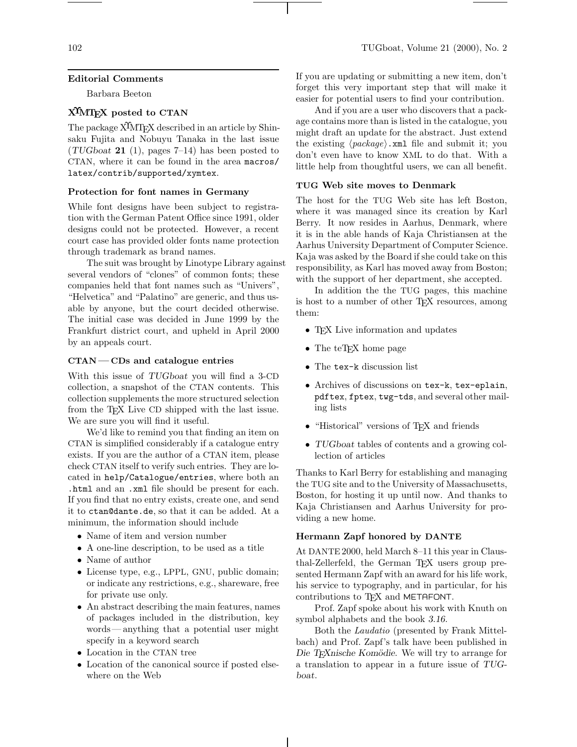### **Editorial Comments**

Barbara Beeton

# **XΥMTEX posted to CTAN**

The package  $\widehat{X}^{\widehat{I}}$ MT<sub>E</sub>X described in an article by Shinsaku Fujita and Nobuyu Tanaka in the last issue (*TUGboat* **21** (1), pages 7–14) has been posted to CTAN, where it can be found in the area macros/ latex/contrib/supported/xymtex.

## **Protection for font names in Germany**

While font designs have been subject to registration with the German Patent Office since 1991, older designs could not be protected. However, a recent court case has provided older fonts name protection through trademark as brand names.

The suit was brought by Linotype Library against several vendors of "clones" of common fonts; these companies held that font names such as "Univers", "Helvetica" and "Palatino" are generic, and thus usable by anyone, but the court decided otherwise. The initial case was decided in June 1999 by the Frankfurt district court, and upheld in April 2000 by an appeals court.

#### **CTAN—CDs and catalogue entries**

With this issue of *TUGboat* you will find a 3-CD collection, a snapshot of the CTAN contents. This collection supplements the more structured selection from the T<sub>F</sub>X Live CD shipped with the last issue. We are sure you will find it useful.

We'd like to remind you that finding an item on CTAN is simplified considerably if a catalogue entry exists. If you are the author of a CTAN item, please check CTAN itself to verify such entries. They are located in help/Catalogue/entries, where both an .html and an .xml file should be present for each. If you find that no entry exists, create one, and send it to ctan@dante.de, so that it can be added. At a minimum, the information should include

- Name of item and version number
- A one-line description, to be used as a title
- Name of author
- License type, e.g., LPPL, GNU, public domain; or indicate any restrictions, e.g., shareware, free for private use only.
- An abstract describing the main features, names of packages included in the distribution, key words— anything that a potential user might specify in a keyword search
- Location in the CTAN tree
- Location of the canonical source if posted elsewhere on the Web

If you are updating or submitting a new item, don't forget this very important step that will make it easier for potential users to find your contribution.

And if you are a user who discovers that a package contains more than is listed in the catalogue, you might draft an update for the abstract. Just extend the existing  $\langle package \rangle$ .xml file and submit it; you don't even have to know XML to do that. With a little help from thoughtful users, we can all benefit.

# **TUG Web site moves to Denmark**

The host for the TUG Web site has left Boston, where it was managed since its creation by Karl Berry. It now resides in Aarhus, Denmark, where it is in the able hands of Kaja Christiansen at the Aarhus University Department of Computer Science. Kaja was asked by the Board if she could take on this responsibility, as Karl has moved away from Boston; with the support of her department, she accepted.

In addition the the TUG pages, this machine is host to a number of other TEX resources, among them:

- T<sub>F</sub>X Live information and updates
- The teT<sub>F</sub>X home page
- The tex-k discussion list
- Archives of discussions on tex-k, tex-eplain, pdftex, fptex, twg-tds, and several other mailing lists
- "Historical" versions of TFX and friends
- *TUGboat* tables of contents and a growing collection of articles

Thanks to Karl Berry for establishing and managing the TUG site and to the University of Massachusetts, Boston, for hosting it up until now. And thanks to Kaja Christiansen and Aarhus University for providing a new home.

#### **Hermann Zapf honored by DANTE**

At DANTE 2000, held March 8–11 this year in Clausthal-Zellerfeld, the German T<sub>E</sub>X users group presented Hermann Zapf with an award for his life work, his service to typography, and in particular, for his contributions to T<sub>E</sub>X and METAFONT.

Prof. Zapf spoke about his work with Knuth on symbol alphabets and the book *3.16*.

Both the *Laudatio* (presented by Frank Mittelbach) and Prof. Zapf's talk have been published in Die T<sub>E</sub>Xnische Komödie. We will try to arrange for a translation to appear in a future issue of *TUGboat*.